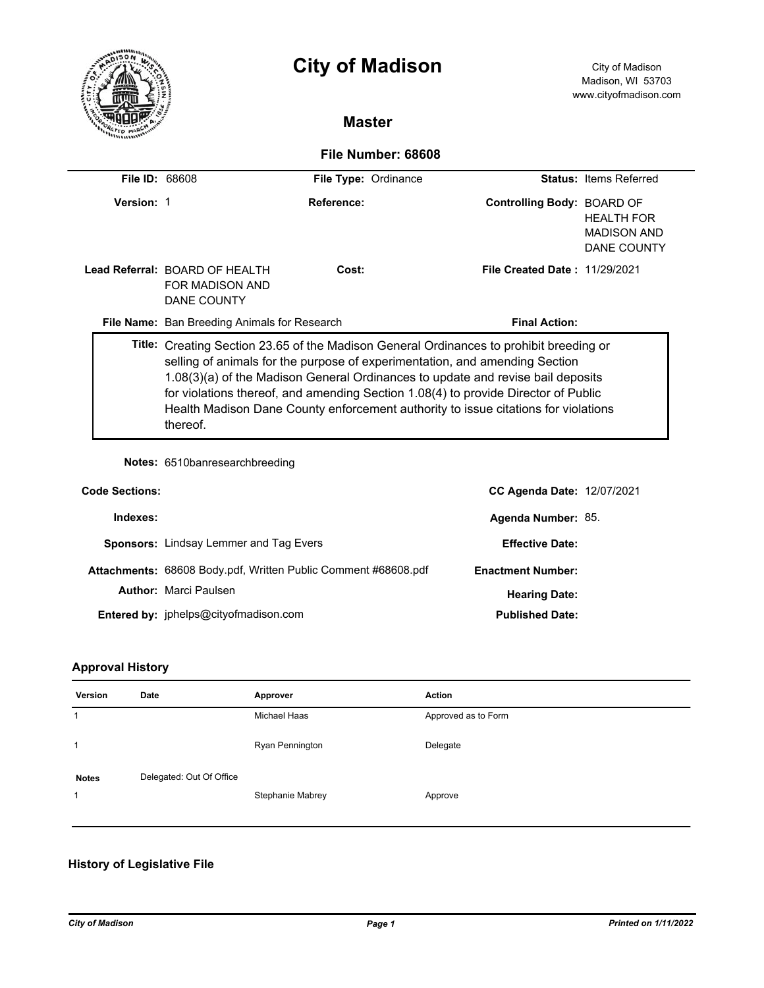|                    |                       | <b>City of Madison</b>                                                                  |                                              |  | City of Madison<br>Madison, WI 53703<br>www.cityofmadison.com |                                                               |  |
|--------------------|-----------------------|-----------------------------------------------------------------------------------------|----------------------------------------------|--|---------------------------------------------------------------|---------------------------------------------------------------|--|
|                    |                       |                                                                                         | <b>Master</b>                                |  |                                                               |                                                               |  |
| File Number: 68608 |                       |                                                                                         |                                              |  |                                                               |                                                               |  |
|                    | <b>File ID: 68608</b> |                                                                                         | File Type: Ordinance                         |  |                                                               | <b>Status: Items Referred</b>                                 |  |
|                    | Version: 1            |                                                                                         | Reference:                                   |  | Controlling Body: BOARD OF                                    | <b>HEALTH FOR</b><br><b>MADISON AND</b><br><b>DANE COUNTY</b> |  |
|                    |                       | Lead Referral: BOARD OF HEALTH<br>FOR MADISON AND<br>DANE COUNTY                        | Cost:                                        |  | <b>File Created Date: 11/29/2021</b>                          |                                                               |  |
|                    |                       |                                                                                         | File Name: Ban Breeding Animals for Research |  | <b>Final Action:</b>                                          |                                                               |  |
|                    |                       | Title: Creating Section 23.65 of the Madison General Ordinances to prohibit breeding or |                                              |  |                                                               |                                                               |  |

selling of animals for the purpose of experimentation, and amending Section 1.08(3)(a) of the Madison General Ordinances to update and revise bail deposits for violations thereof, and amending Section 1.08(4) to provide Director of Public Health Madison Dane County enforcement authority to issue citations for violations thereof.

**Notes:** 6510banresearchbreeding

| <b>Code Sections:</b> |                                                                | <b>CC Agenda Date: 12/07/2021</b> |  |
|-----------------------|----------------------------------------------------------------|-----------------------------------|--|
| Indexes:              |                                                                | Agenda Number: 85.                |  |
|                       | <b>Sponsors: Lindsay Lemmer and Tag Evers</b>                  | <b>Effective Date:</b>            |  |
|                       | Attachments: 68608 Body.pdf, Written Public Comment #68608.pdf | <b>Enactment Number:</b>          |  |
|                       | <b>Author: Marci Paulsen</b>                                   | <b>Hearing Date:</b>              |  |
|                       | Entered by: jphelps@cityofmadison.com                          | <b>Published Date:</b>            |  |

# **Approval History**

 $\overline{\phantom{0}}$ 

| Version                     | Date                     | Approver         | <b>Action</b>       |
|-----------------------------|--------------------------|------------------|---------------------|
|                             |                          | Michael Haas     | Approved as to Form |
| $\mathbf{1}$                |                          | Ryan Pennington  | Delegate            |
| <b>Notes</b><br>$\mathbf 1$ | Delegated: Out Of Office | Stephanie Mabrey | Approve             |

# **History of Legislative File**